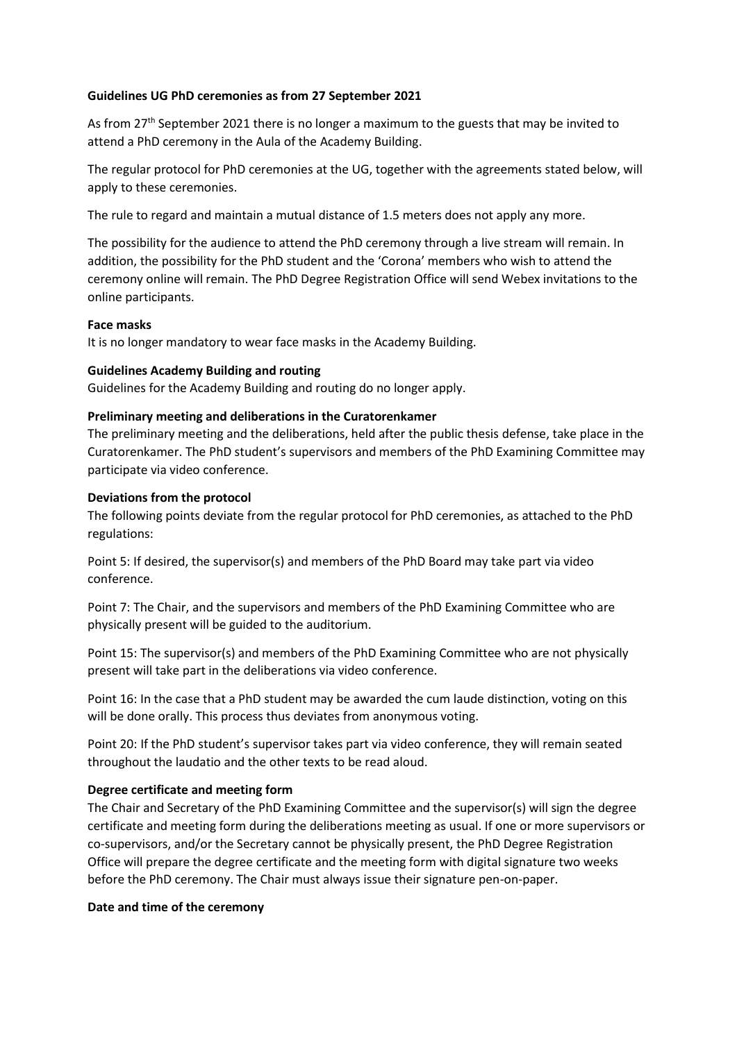#### **Guidelines UG PhD ceremonies as from 27 September 2021**

As from 27<sup>th</sup> September 2021 there is no longer a maximum to the guests that may be invited to attend a PhD ceremony in the Aula of the Academy Building.

The regular protocol for PhD ceremonies at the UG, together with the agreements stated below, will apply to these ceremonies.

The rule to regard and maintain a mutual distance of 1.5 meters does not apply any more.

The possibility for the audience to attend the PhD ceremony through a live stream will remain. In addition, the possibility for the PhD student and the 'Corona' members who wish to attend the ceremony online will remain. The PhD Degree Registration Office will send Webex invitations to the online participants.

#### **Face masks**

It is no longer mandatory to wear face masks in the Academy Building.

### **Guidelines Academy Building and routing**

Guidelines for the Academy Building and routing do no longer apply.

### **Preliminary meeting and deliberations in the Curatorenkamer**

The preliminary meeting and the deliberations, held after the public thesis defense, take place in the Curatorenkamer. The PhD student's supervisors and members of the PhD Examining Committee may participate via video conference.

### **Deviations from the protocol**

The following points deviate from the regular protocol for PhD ceremonies, as attached to the PhD regulations:

Point 5: If desired, the supervisor(s) and members of the PhD Board may take part via video conference.

Point 7: The Chair, and the supervisors and members of the PhD Examining Committee who are physically present will be guided to the auditorium.

Point 15: The supervisor(s) and members of the PhD Examining Committee who are not physically present will take part in the deliberations via video conference.

Point 16: In the case that a PhD student may be awarded the cum laude distinction, voting on this will be done orally. This process thus deviates from anonymous voting.

Point 20: If the PhD student's supervisor takes part via video conference, they will remain seated throughout the laudatio and the other texts to be read aloud.

# **Degree certificate and meeting form**

The Chair and Secretary of the PhD Examining Committee and the supervisor(s) will sign the degree certificate and meeting form during the deliberations meeting as usual. If one or more supervisors or co-supervisors, and/or the Secretary cannot be physically present, the PhD Degree Registration Office will prepare the degree certificate and the meeting form with digital signature two weeks before the PhD ceremony. The Chair must always issue their signature pen-on-paper.

#### **Date and time of the ceremony**